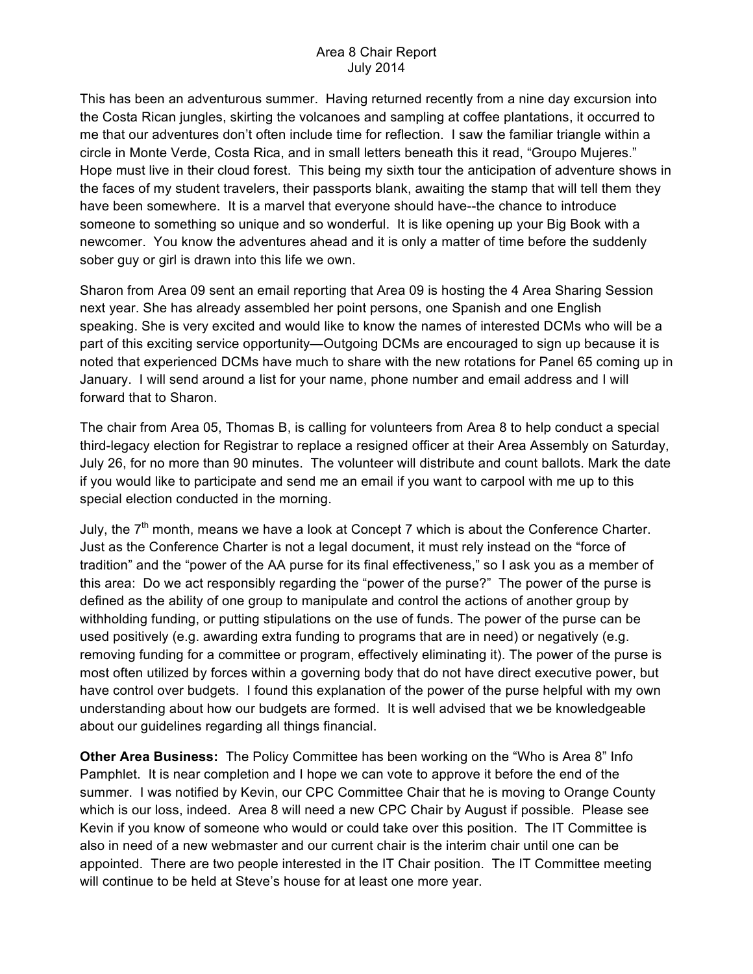## Area 8 Chair Report July 2014

This has been an adventurous summer. Having returned recently from a nine day excursion into the Costa Rican jungles, skirting the volcanoes and sampling at coffee plantations, it occurred to me that our adventures don't often include time for reflection. I saw the familiar triangle within a circle in Monte Verde, Costa Rica, and in small letters beneath this it read, "Groupo Mujeres." Hope must live in their cloud forest. This being my sixth tour the anticipation of adventure shows in the faces of my student travelers, their passports blank, awaiting the stamp that will tell them they have been somewhere. It is a marvel that everyone should have--the chance to introduce someone to something so unique and so wonderful. It is like opening up your Big Book with a newcomer. You know the adventures ahead and it is only a matter of time before the suddenly sober guy or girl is drawn into this life we own.

Sharon from Area 09 sent an email reporting that Area 09 is hosting the 4 Area Sharing Session next year. She has already assembled her point persons, one Spanish and one English speaking. She is very excited and would like to know the names of interested DCMs who will be a part of this exciting service opportunity—Outgoing DCMs are encouraged to sign up because it is noted that experienced DCMs have much to share with the new rotations for Panel 65 coming up in January. I will send around a list for your name, phone number and email address and I will forward that to Sharon.

The chair from Area 05, Thomas B, is calling for volunteers from Area 8 to help conduct a special third-legacy election for Registrar to replace a resigned officer at their Area Assembly on Saturday, July 26, for no more than 90 minutes. The volunteer will distribute and count ballots. Mark the date if you would like to participate and send me an email if you want to carpool with me up to this special election conducted in the morning.

July, the  $7<sup>th</sup>$  month, means we have a look at Concept 7 which is about the Conference Charter. Just as the Conference Charter is not a legal document, it must rely instead on the "force of tradition" and the "power of the AA purse for its final effectiveness," so I ask you as a member of this area: Do we act responsibly regarding the "power of the purse?" The power of the purse is defined as the ability of one group to manipulate and control the actions of another group by withholding funding, or putting stipulations on the use of funds. The power of the purse can be used positively (e.g. awarding extra funding to programs that are in need) or negatively (e.g. removing funding for a committee or program, effectively eliminating it). The power of the purse is most often utilized by forces within a governing body that do not have direct executive power, but have control over budgets. I found this explanation of the power of the purse helpful with my own understanding about how our budgets are formed. It is well advised that we be knowledgeable about our guidelines regarding all things financial.

**Other Area Business:** The Policy Committee has been working on the "Who is Area 8" Info Pamphlet. It is near completion and I hope we can vote to approve it before the end of the summer. I was notified by Kevin, our CPC Committee Chair that he is moving to Orange County which is our loss, indeed. Area 8 will need a new CPC Chair by August if possible. Please see Kevin if you know of someone who would or could take over this position. The IT Committee is also in need of a new webmaster and our current chair is the interim chair until one can be appointed. There are two people interested in the IT Chair position. The IT Committee meeting will continue to be held at Steve's house for at least one more year.